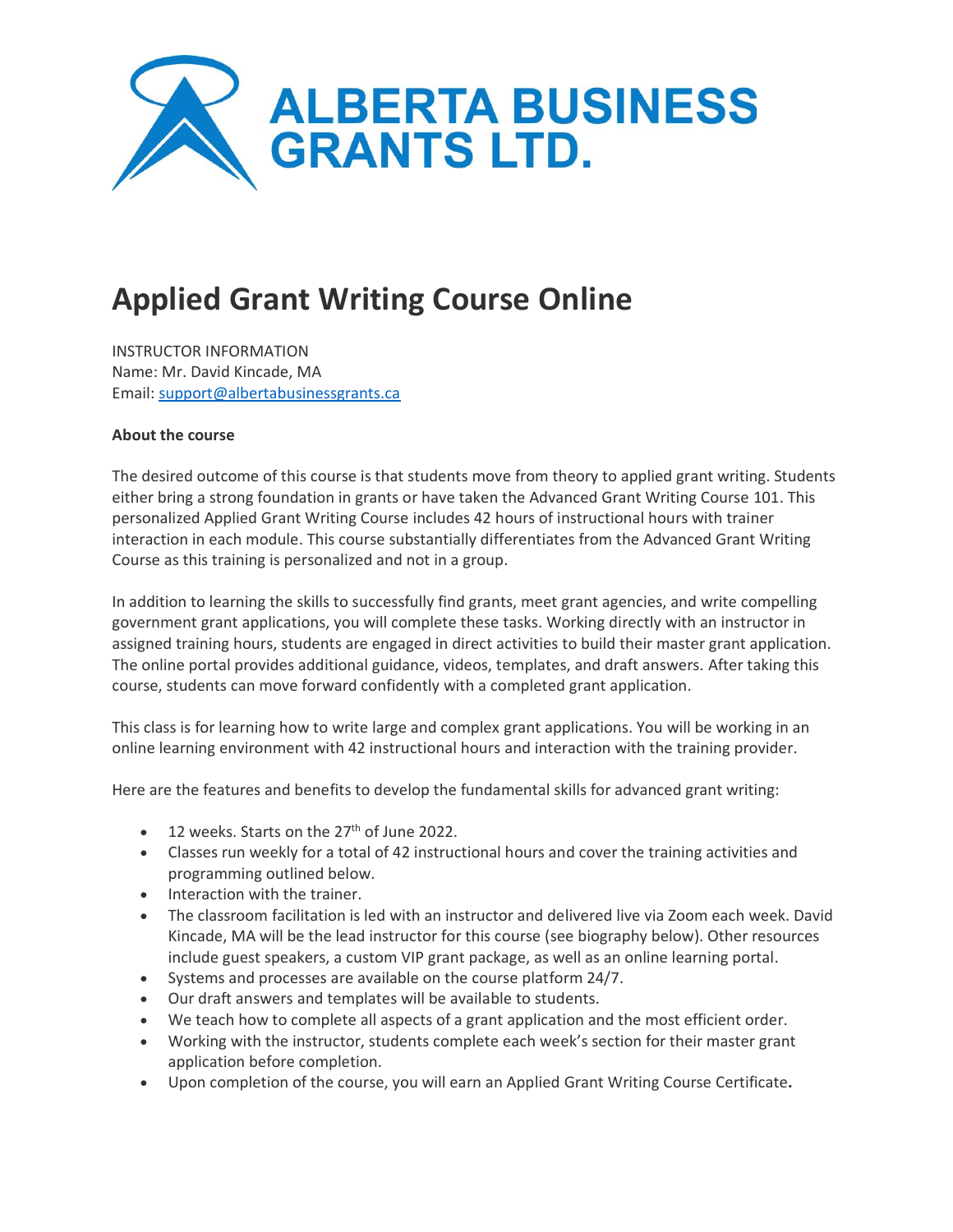

# **Applied Grant Writing Course Online**

INSTRUCTOR INFORMATION Name: Mr. David Kincade, MA Email: [support@albertabusinessgrants.ca](mailto:support@albertabusinessgrants.ca)

## **About the course**

The desired outcome of this course is that students move from theory to applied grant writing. Students either bring a strong foundation in grants or have taken the Advanced Grant Writing Course 101. This personalized Applied Grant Writing Course includes 42 hours of instructional hours with trainer interaction in each module. This course substantially differentiates from the Advanced Grant Writing Course as this training is personalized and not in a group.

In addition to learning the skills to successfully find grants, meet grant agencies, and write compelling government grant applications, you will complete these tasks. Working directly with an instructor in assigned training hours, students are engaged in direct activities to build their master grant application. The online portal provides additional guidance, videos, templates, and draft answers. After taking this course, students can move forward confidently with a completed grant application.

This class is for learning how to write large and complex grant applications. You will be working in an online learning environment with 42 instructional hours and interaction with the training provider.

Here are the features and benefits to develop the fundamental skills for advanced grant writing:

- 12 weeks. Starts on the 27<sup>th</sup> of June 2022.
- Classes run weekly for a total of 42 instructional hours and cover the training activities and programming outlined below.
- Interaction with the trainer.
- The classroom facilitation is led with an instructor and delivered live via Zoom each week. David Kincade, MA will be the lead instructor for this course (see biography below). Other resources include guest speakers, a custom VIP grant package, as well as an online learning portal.
- Systems and processes are available on the course platform 24/7.
- Our draft answers and templates will be available to students.
- We teach how to complete all aspects of a grant application and the most efficient order.
- Working with the instructor, students complete each week's section for their master grant application before completion.
- Upon completion of the course, you will earn an Applied Grant Writing Course Certificate**.**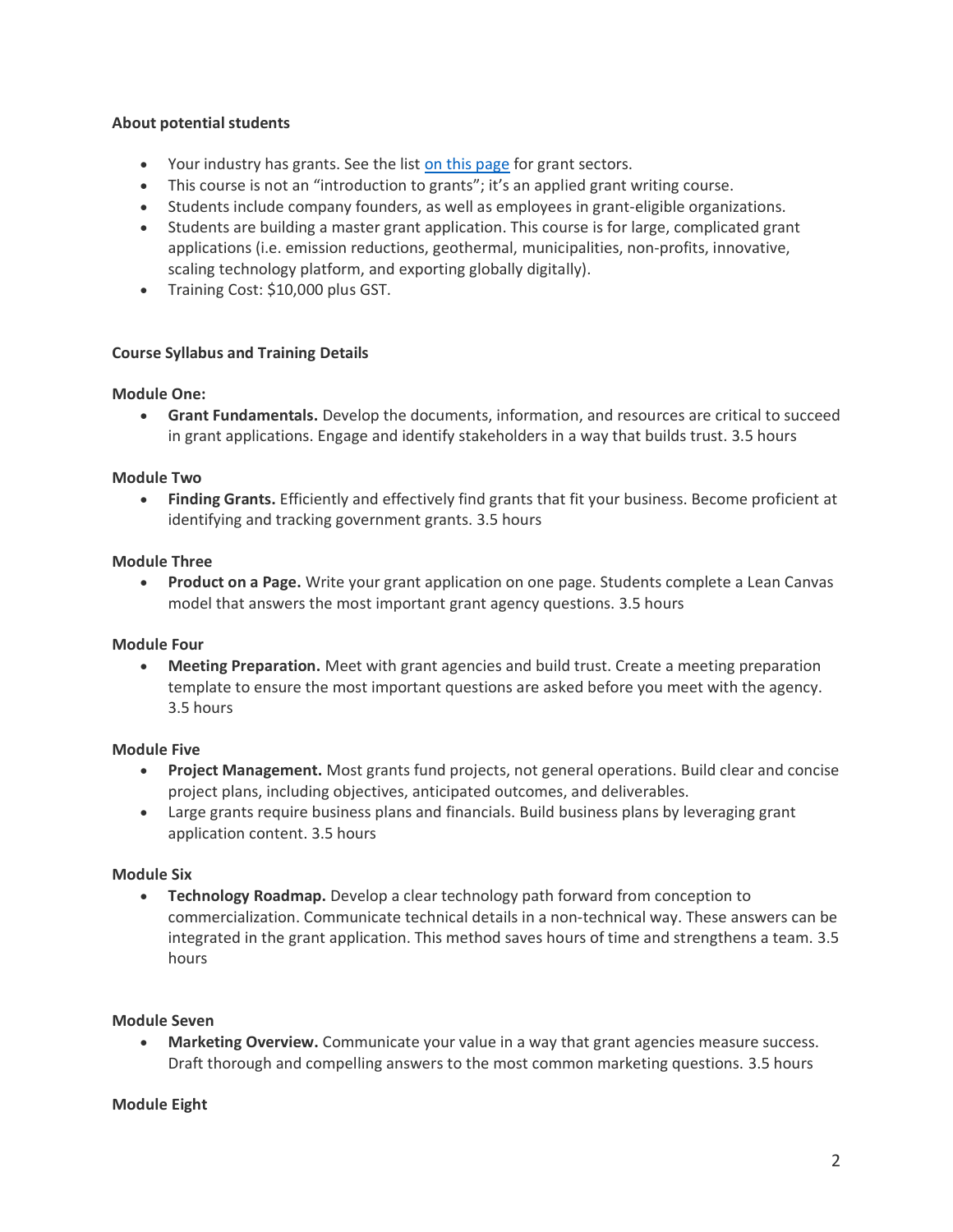# **About potential students**

- Your industry has grants. See the list [on this page](https://albertabusinessgrants.ca/how-it-works/) for grant sectors.
- This course is not an "introduction to grants"; it's an applied grant writing course.
- Students include company founders, as well as employees in grant-eligible organizations.
- Students are building a master grant application. This course is for large, complicated grant applications (i.e. emission reductions, geothermal, municipalities, non-profits, innovative, scaling technology platform, and exporting globally digitally).
- Training Cost: \$10,000 plus GST.

# **Course Syllabus and Training Details**

# **Module One:**

• **Grant Fundamentals.** Develop the documents, information, and resources are critical to succeed in grant applications. Engage and identify stakeholders in a way that builds trust. 3.5 hours

# **Module Two**

• **Finding Grants.** Efficiently and effectively find grants that fit your business. Become proficient at identifying and tracking government grants. 3.5 hours

# **Module Three**

• **Product on a Page.** Write your grant application on one page. Students complete a Lean Canvas model that answers the most important grant agency questions. 3.5 hours

# **Module Four**

• **Meeting Preparation.** Meet with grant agencies and build trust. Create a meeting preparation template to ensure the most important questions are asked before you meet with the agency. 3.5 hours

# **Module Five**

- **Project Management.** Most grants fund projects, not general operations. Build clear and concise project plans, including objectives, anticipated outcomes, and deliverables.
- Large grants require business plans and financials. Build business plans by leveraging grant application content. 3.5 hours

# **Module Six**

• **Technology Roadmap.** Develop a clear technology path forward from conception to commercialization. Communicate technical details in a non-technical way. These answers can be integrated in the grant application. This method saves hours of time and strengthens a team. 3.5 hours

# **Module Seven**

• **Marketing Overview.** Communicate your value in a way that grant agencies measure success. Draft thorough and compelling answers to the most common marketing questions. 3.5 hours

# **Module Eight**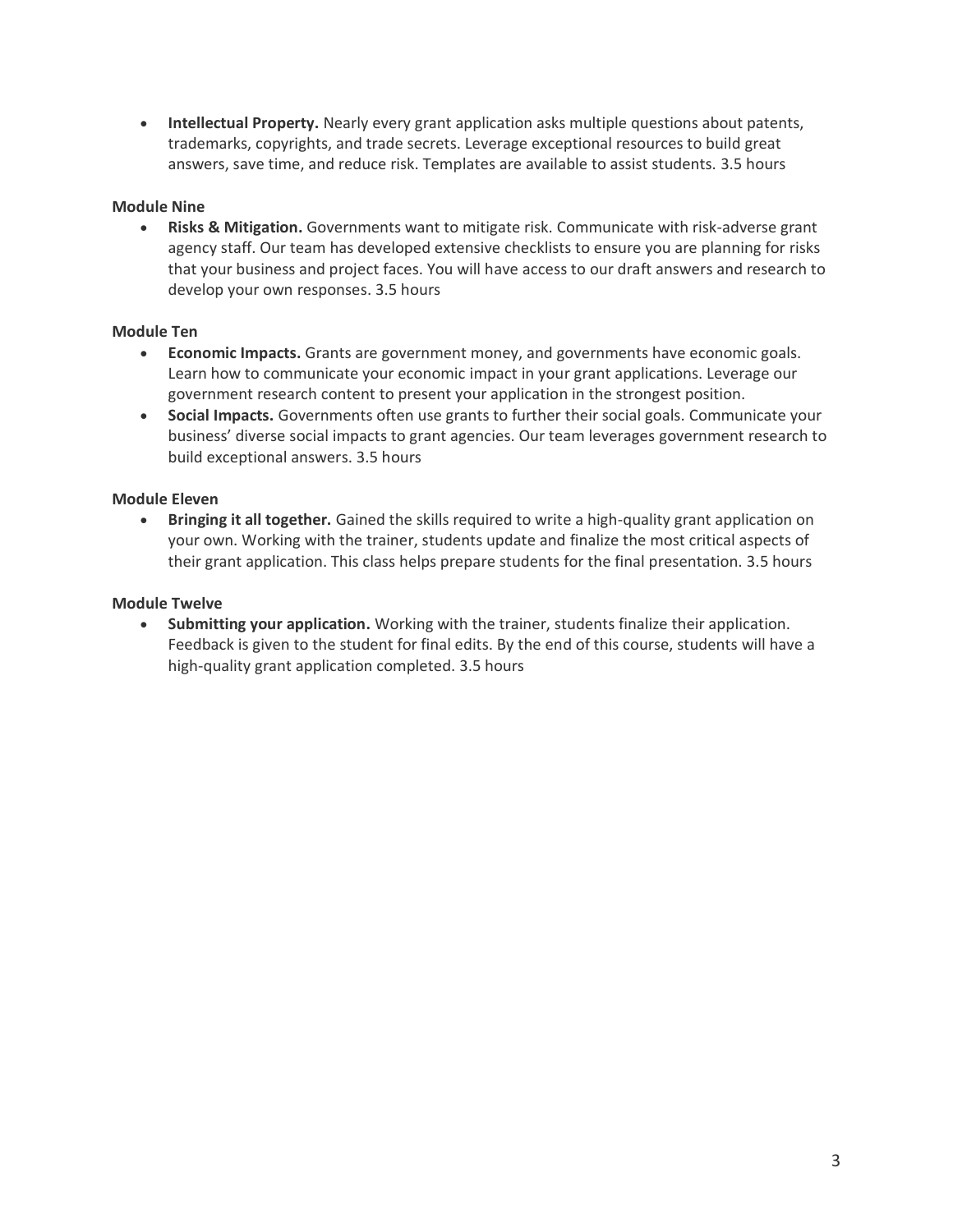• **Intellectual Property.** Nearly every grant application asks multiple questions about patents, trademarks, copyrights, and trade secrets. Leverage exceptional resources to build great answers, save time, and reduce risk. Templates are available to assist students. 3.5 hours

# **Module Nine**

• **Risks & Mitigation.** Governments want to mitigate risk. Communicate with risk-adverse grant agency staff. Our team has developed extensive checklists to ensure you are planning for risks that your business and project faces. You will have access to our draft answers and research to develop your own responses. 3.5 hours

## **Module Ten**

- **Economic Impacts.** Grants are government money, and governments have economic goals. Learn how to communicate your economic impact in your grant applications. Leverage our government research content to present your application in the strongest position.
- **Social Impacts.** Governments often use grants to further their social goals. Communicate your business' diverse social impacts to grant agencies. Our team leverages government research to build exceptional answers. 3.5 hours

## **Module Eleven**

• **Bringing it all together.** Gained the skills required to write a high-quality grant application on your own. Working with the trainer, students update and finalize the most critical aspects of their grant application. This class helps prepare students for the final presentation. 3.5 hours

#### **Module Twelve**

• **Submitting your application.** Working with the trainer, students finalize their application. Feedback is given to the student for final edits. By the end of this course, students will have a high-quality grant application completed. 3.5 hours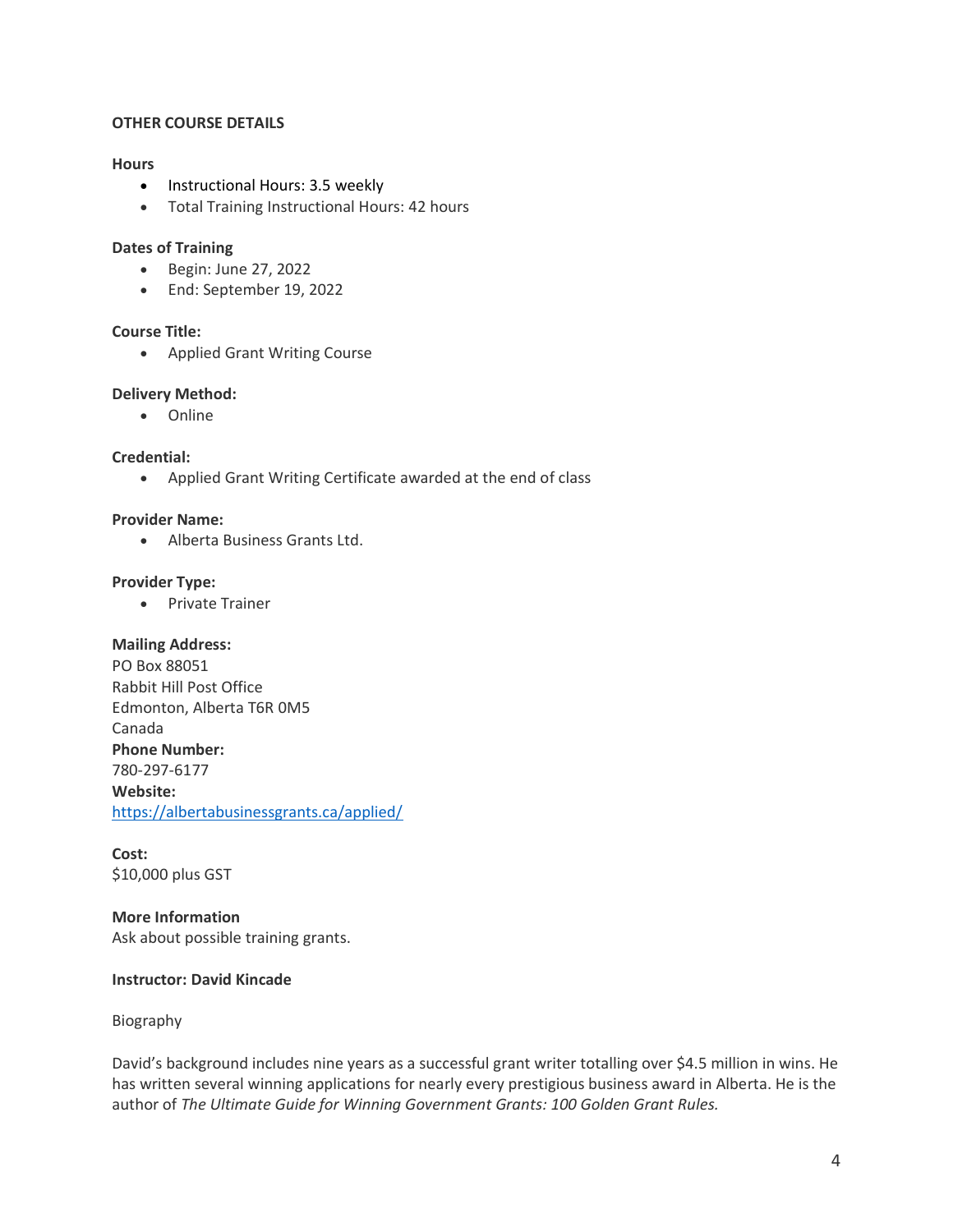## **OTHER COURSE DETAILS**

#### **Hours**

- Instructional Hours: 3.5 weekly
- Total Training Instructional Hours: 42 hours

## **Dates of Training**

- Begin: June 27, 2022
- End: September 19, 2022

#### **Course Title:**

• Applied Grant Writing Course

## **Delivery Method:**

• Online

## **Credential:**

• Applied Grant Writing Certificate awarded at the end of class

#### **Provider Name:**

• Alberta Business Grants Ltd.

## **Provider Type:**

• Private Trainer

#### **Mailing Address:**

PO Box 88051 Rabbit Hill Post Office Edmonton, Alberta T6R 0M5 Canada **Phone Number:** 780-297-6177 **Website:** <https://albertabusinessgrants.ca/applied/>

**Cost:** \$10,000 plus GST

**More Information** Ask about possible training grants.

# **Instructor: David Kincade**

## Biography

David's background includes nine years as a successful grant writer totalling over \$4.5 million in wins. He has written several winning applications for nearly every prestigious business award in Alberta. He is the author of *The Ultimate Guide for Winning Government Grants: 100 Golden Grant Rules.*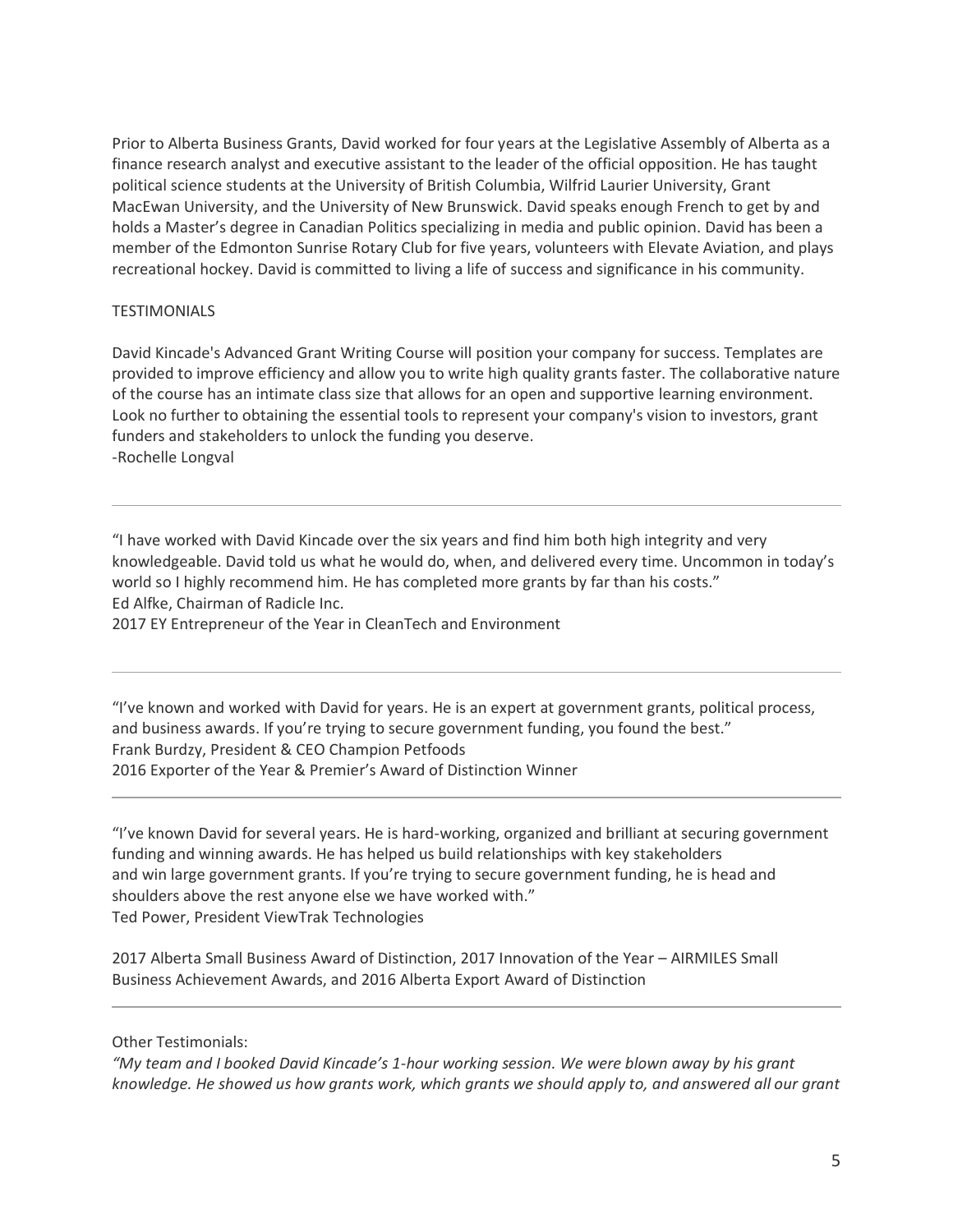Prior to Alberta Business Grants, David worked for four years at the Legislative Assembly of Alberta as a finance research analyst and executive assistant to the leader of the official opposition. He has taught political science students at the University of British Columbia, Wilfrid Laurier University, Grant MacEwan University, and the University of New Brunswick. David speaks enough French to get by and holds a Master's degree in Canadian Politics specializing in media and public opinion. David has been a member of the Edmonton Sunrise Rotary Club for five years, volunteers with Elevate Aviation, and plays recreational hockey. David is committed to living a life of success and significance in his community.

# **TESTIMONIALS**

David Kincade's Advanced Grant Writing Course will position your company for success. Templates are provided to improve efficiency and allow you to write high quality grants faster. The collaborative nature of the course has an intimate class size that allows for an open and supportive learning environment. Look no further to obtaining the essential tools to represent your company's vision to investors, grant funders and stakeholders to unlock the funding you deserve. -Rochelle Longval

"I have worked with David Kincade over the six years and find him both high integrity and very knowledgeable. David told us what he would do, when, and delivered every time. Uncommon in today's world so I highly recommend him. He has completed more grants by far than his costs." Ed Alfke, Chairman of Radicle Inc.

2017 EY Entrepreneur of the Year in CleanTech and Environment

"I've known and worked with David for years. He is an expert at government grants, political process, and business awards. If you're trying to secure government funding, you found the best." Frank Burdzy, President & CEO Champion Petfoods 2016 Exporter of the Year & Premier's Award of Distinction Winner

"I've known David for several years. He is hard-working, organized and brilliant at securing government funding and winning awards. He has helped us build relationships with key stakeholders and win large government grants. If you're trying to secure government funding, he is head and shoulders above the rest anyone else we have worked with." Ted Power, President ViewTrak Technologies

2017 Alberta Small Business Award of Distinction, 2017 Innovation of the Year – AIRMILES Small Business Achievement Awards, and 2016 Alberta Export Award of Distinction

Other Testimonials:

*"My team and I booked David Kincade's 1-hour working session. We were blown away by his grant knowledge. He showed us how grants work, which grants we should apply to, and answered all our grant*